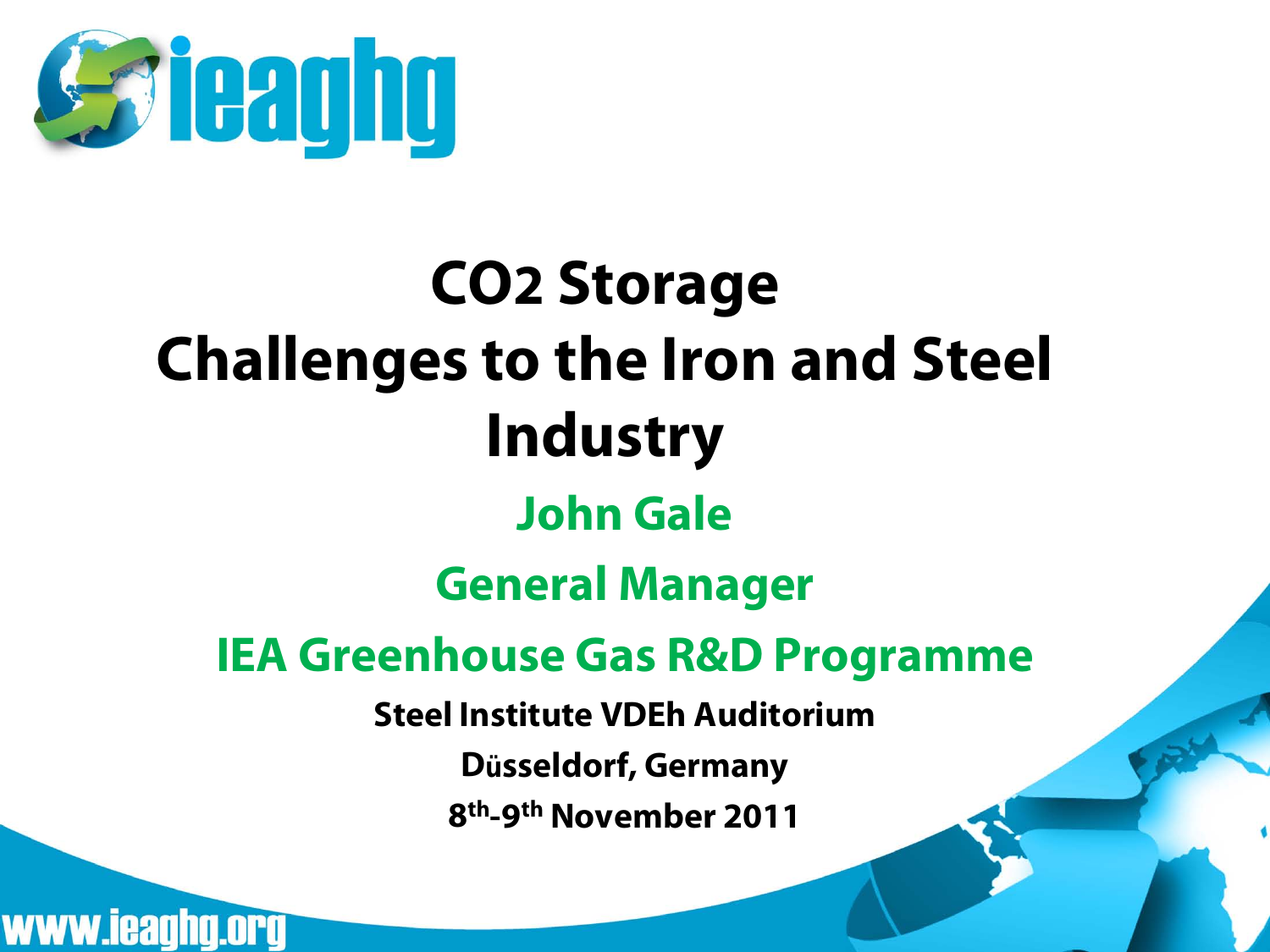

#### **CO2 Storage Challenges to the Iron and Steel Industry John Gale General Manager IEA Greenhouse Gas R&D Programme Steel Institute VDEh Auditorium Düsseldorf, Germany 8th-9th November 2011**

www.ieaghg.org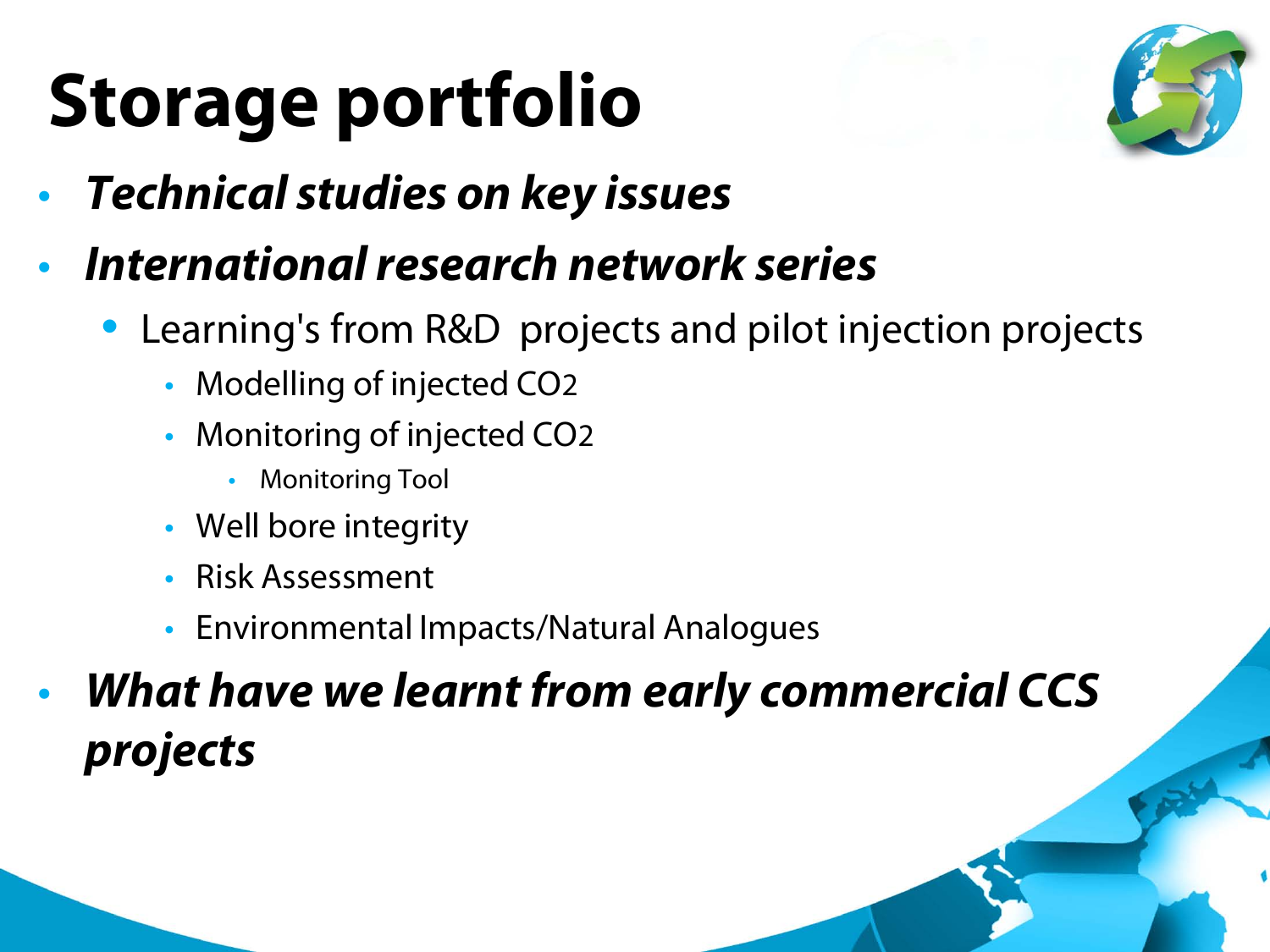## **Storage portfolio**



- *Technical studies on key issues*
- *International research network series*
	- Learning's from R&D projects and pilot injection projects
		- Modelling of injected CO2
		- Monitoring of injected CO2
			- Monitoring Tool
		- Well bore integrity
		- Risk Assessment
		- Environmental Impacts/Natural Analogues

• *What have we learnt from early commercial CCS projects*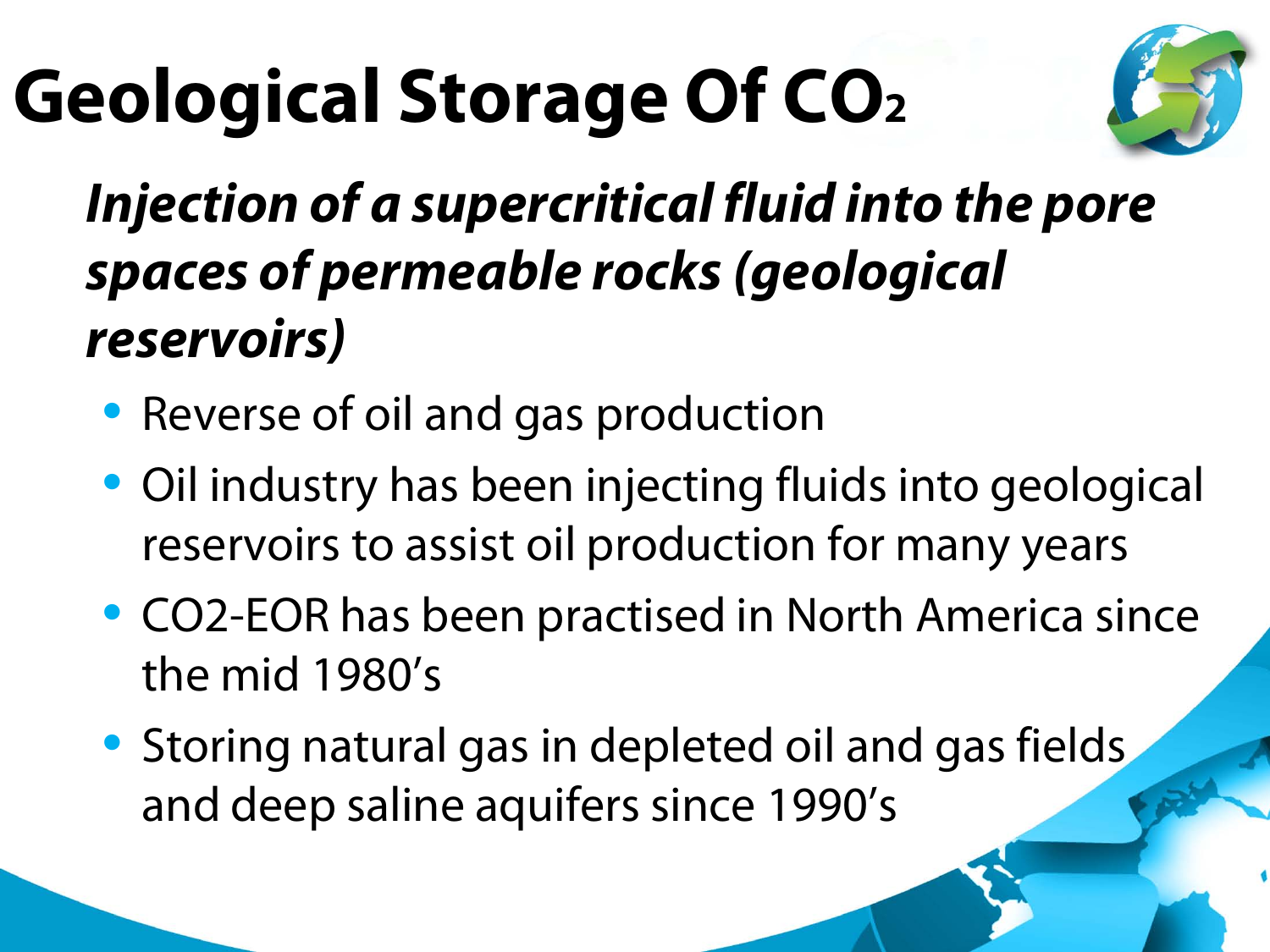## **Geological Storage Of CO2**



#### • *Injection of a supercritical fluid into the pore spaces of permeable rocks (geological reservoirs)*

- Reverse of oil and gas production
- Oil industry has been injecting fluids into geological reservoirs to assist oil production for many years
- CO2-EOR has been practised in North America since the mid 1980's
- Storing natural gas in depleted oil and gas fields and deep saline aquifers since 1990's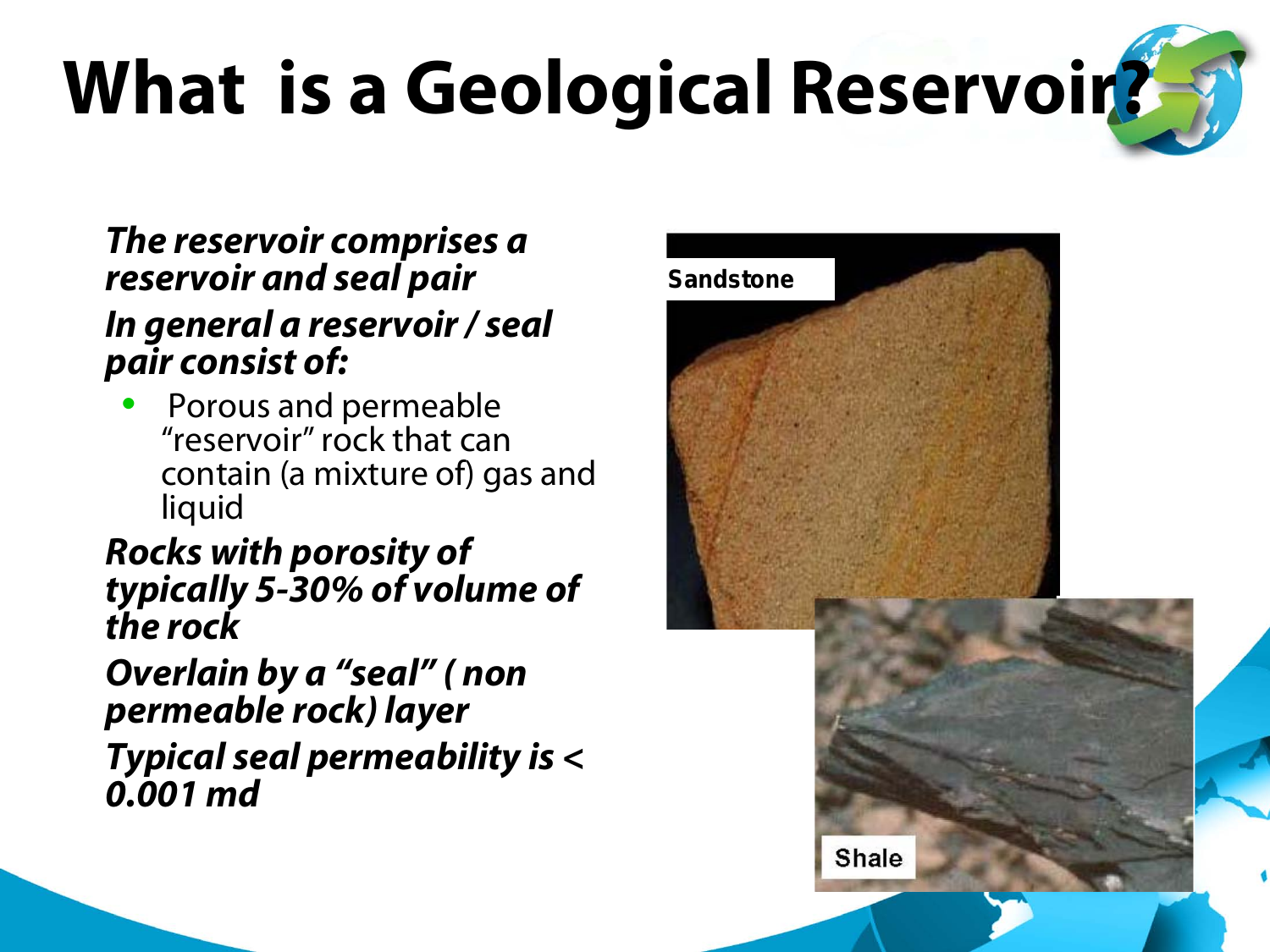# **What is a Geological Reservoir?**

#### • *The reservoir comprises a reservoir and seal pair* • *In general a reservoir / seal pair consist of:*

• Porous and permeable "reservoir" rock that can contain (a mixture of) gas and liquid

#### • *Rocks with porosity of typically 5-30% of volume of the rock*

• *Overlain by a "seal" ( non permeable rock) layer* • *Typical seal permeability is < 0.001 md*

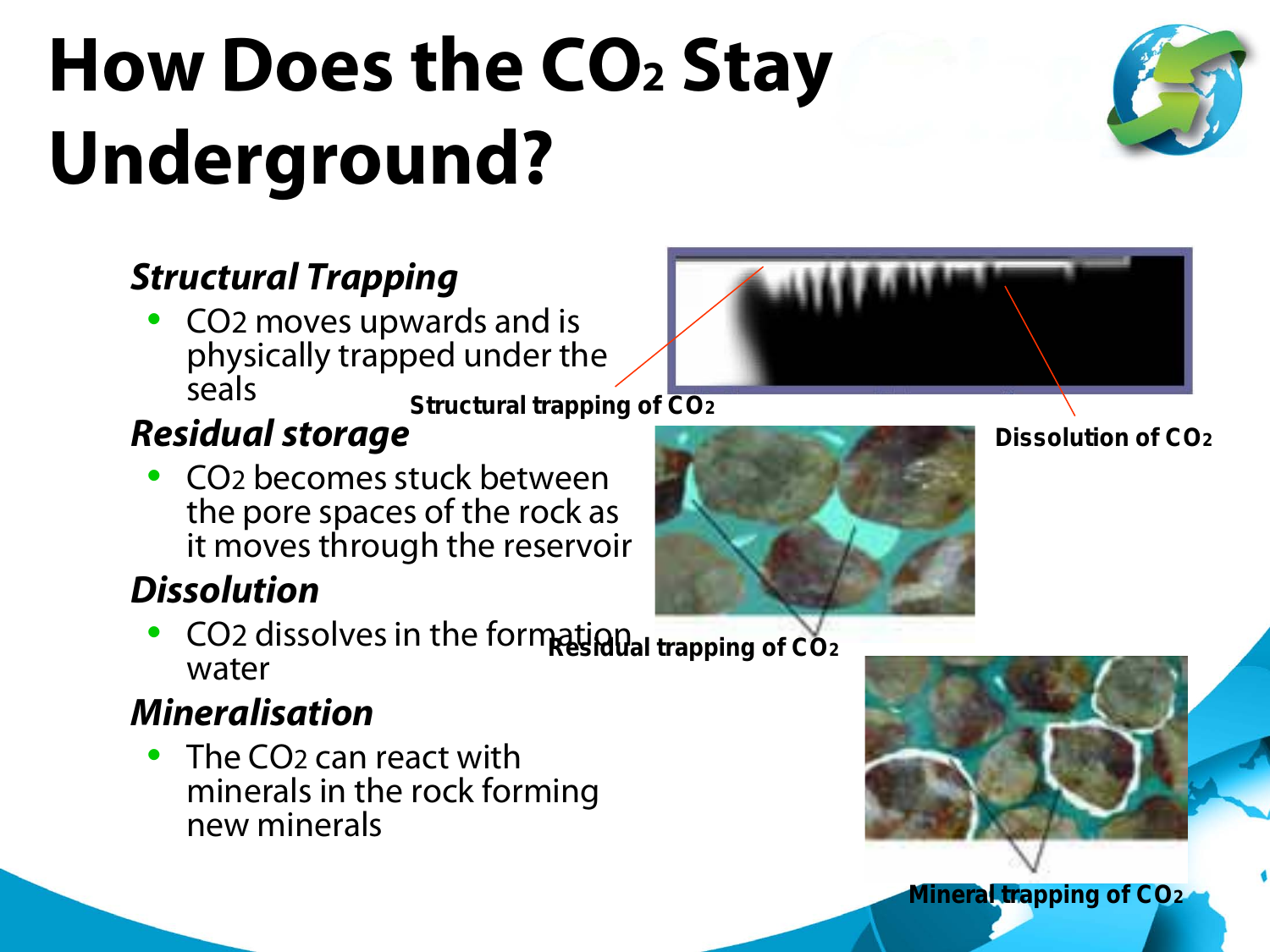## **How Does the CO2 Stay Underground?**



• CO2 moves upwards and is physically trapped under the seals **Structural trapping of CO2**

#### • *Residual storage*

• CO2 becomes stuck between the pore spaces of the rock as it moves through the reservoir

#### • *Dissolution*

**CO<sub>2</sub>** dissolves in the formational trapping of CO<sub>2</sub> water

#### • *Mineralisation*

• The CO<sub>2</sub> can react with minerals in the rock forming new minerals





**Dissolution of CO2**

**Mineral trapping of CO2**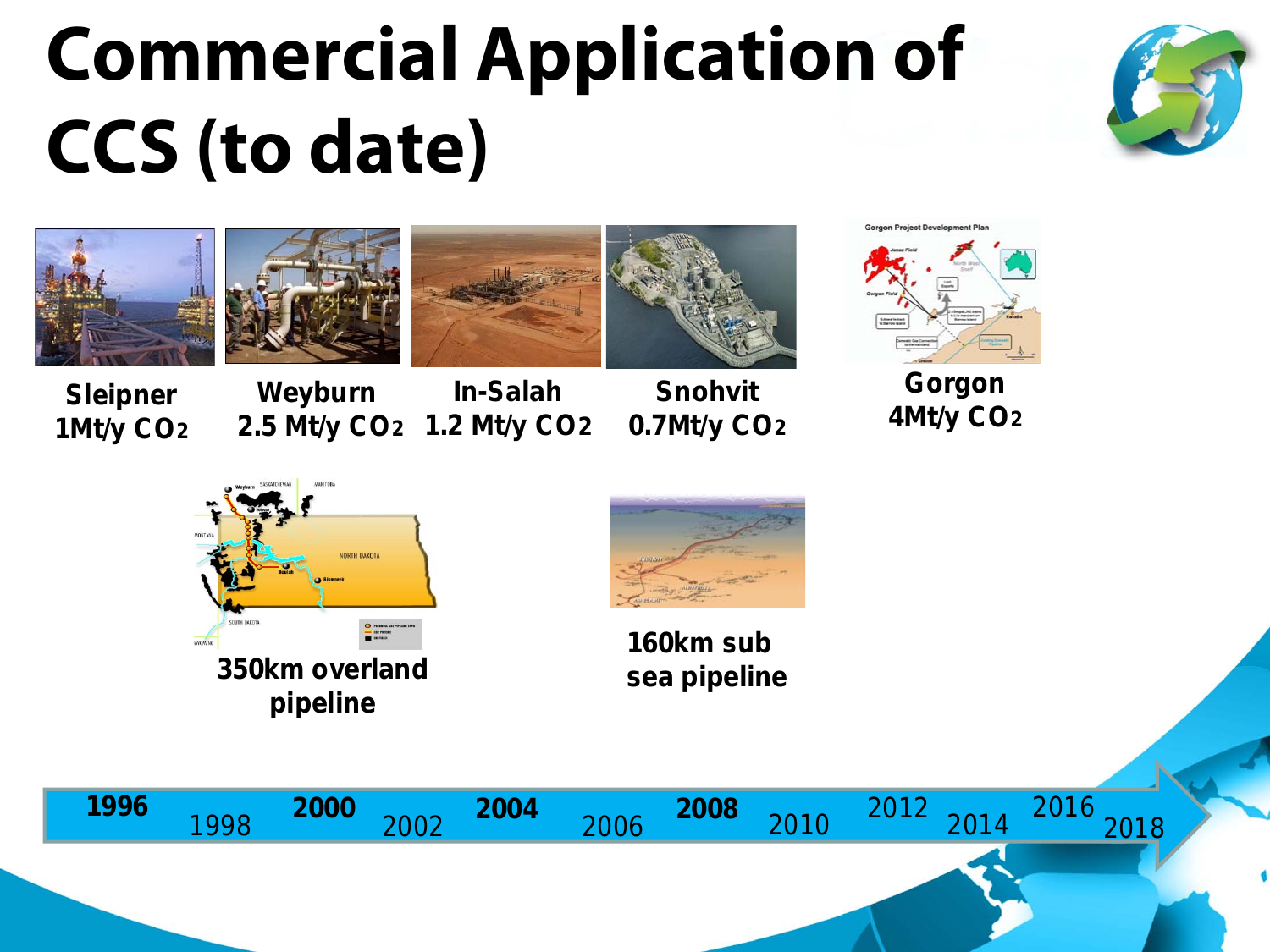### **Commercial Application of CCS (to date)**











**Sleipner 1Mt/y CO2**

**Weyburn 2.5 Mt/y CO2 1.2 Mt/y CO2 In-Salah**

**Snohvit 0.7Mt/y CO2**



**Gorgon 4Mt/y CO2**





**160km sub** 

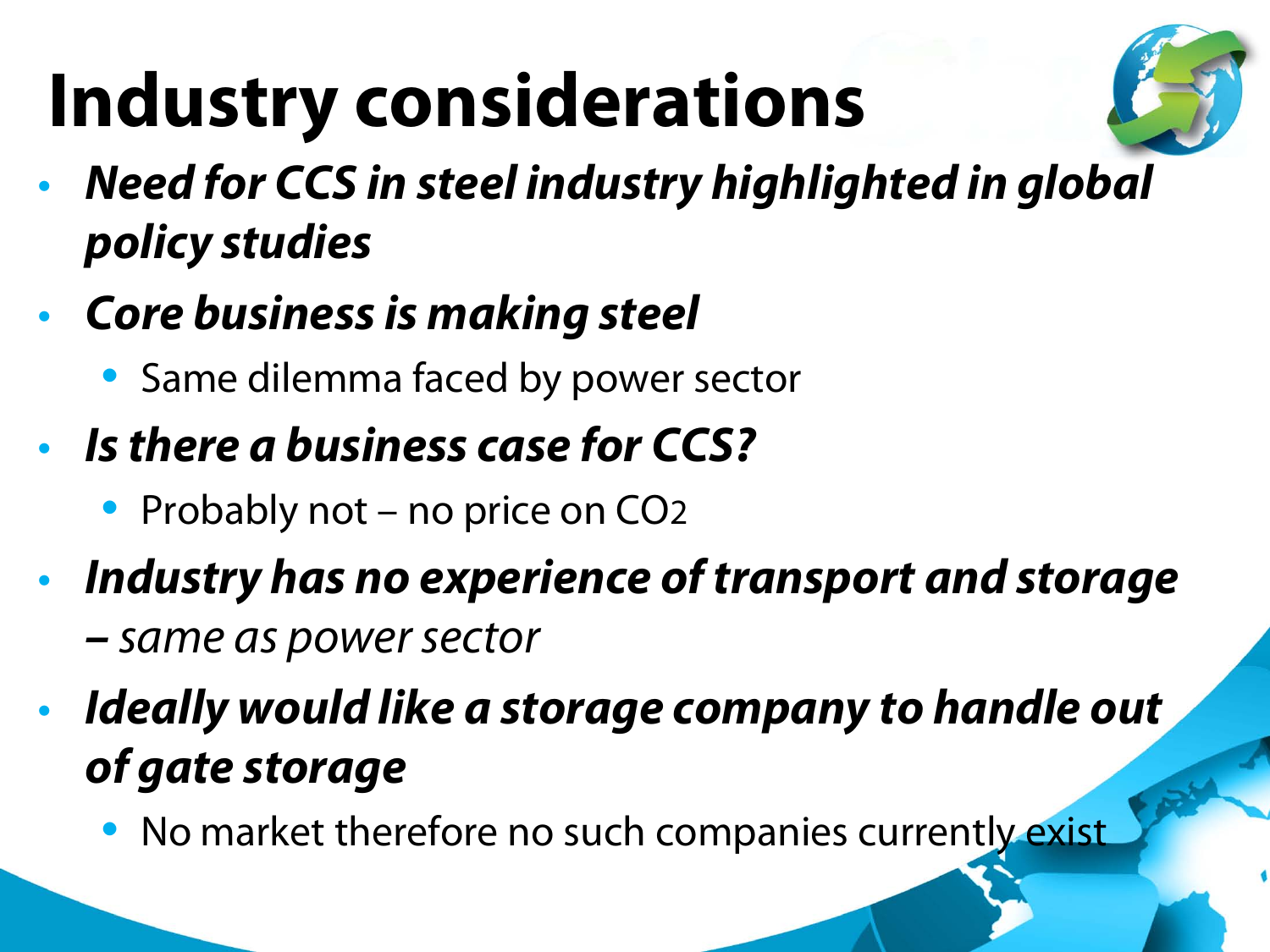## **Industry considerations**



- *Need for CCS in steel industry highlighted in global policy studies*
- *Core business is making steel*
	- Same dilemma faced by power sector
- *Is there a business case for CCS?*
	- Probably not no price on CO<sub>2</sub>
- *Industry has no experience of transport and storage* 
	- *– same as power sector*
- *Ideally would like a storage company to handle out of gate storage*
	- No market therefore no such companies currently exist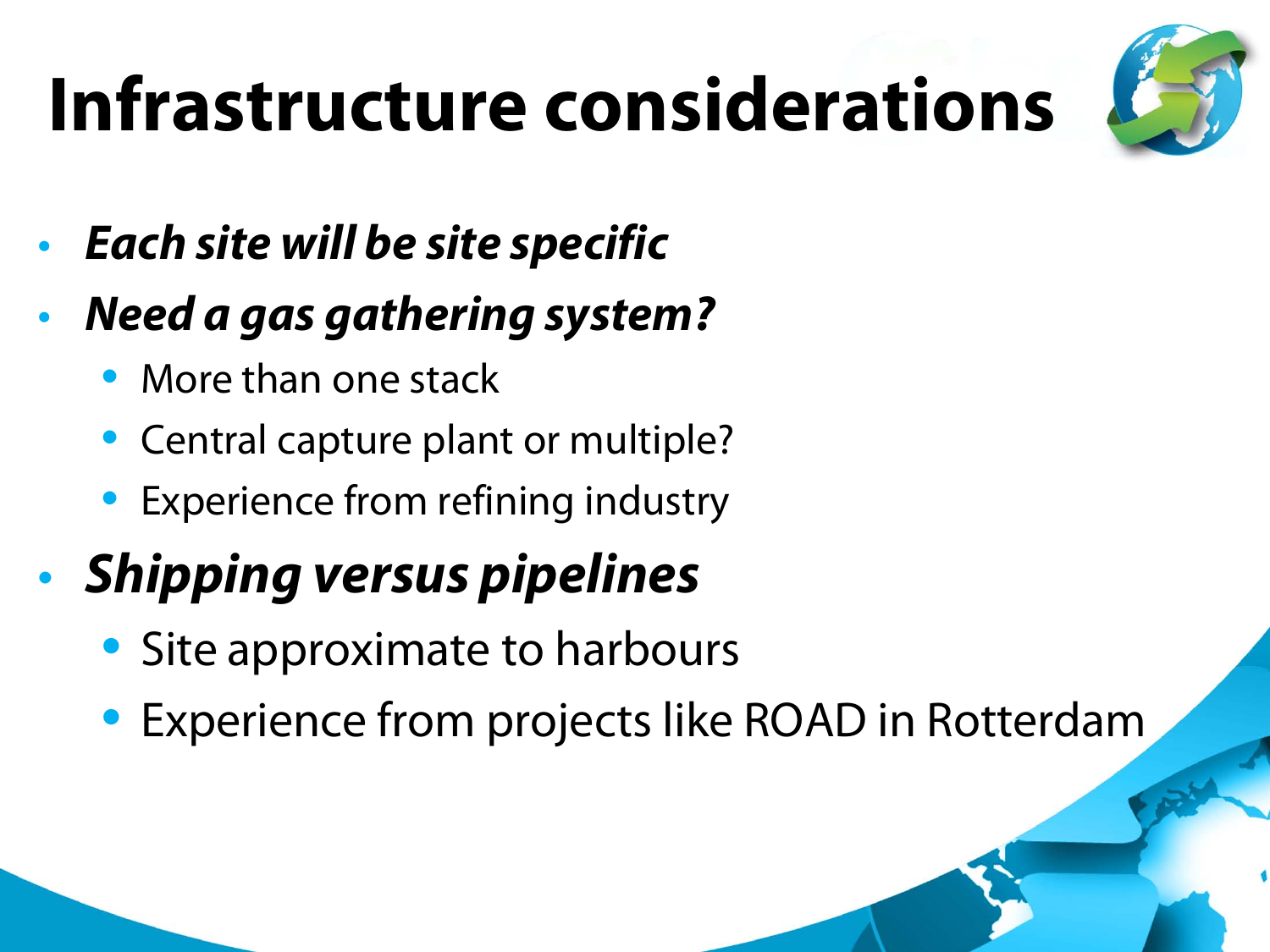### **Infrastructure considerations**



- *Each site will be site specific*
- *Need a gas gathering system?*
	- More than one stack
	- Central capture plant or multiple?
	- Experience from refining industry

#### • *Shipping versus pipelines*

- Site approximate to harbours
- Experience from projects like ROAD in Rotterdam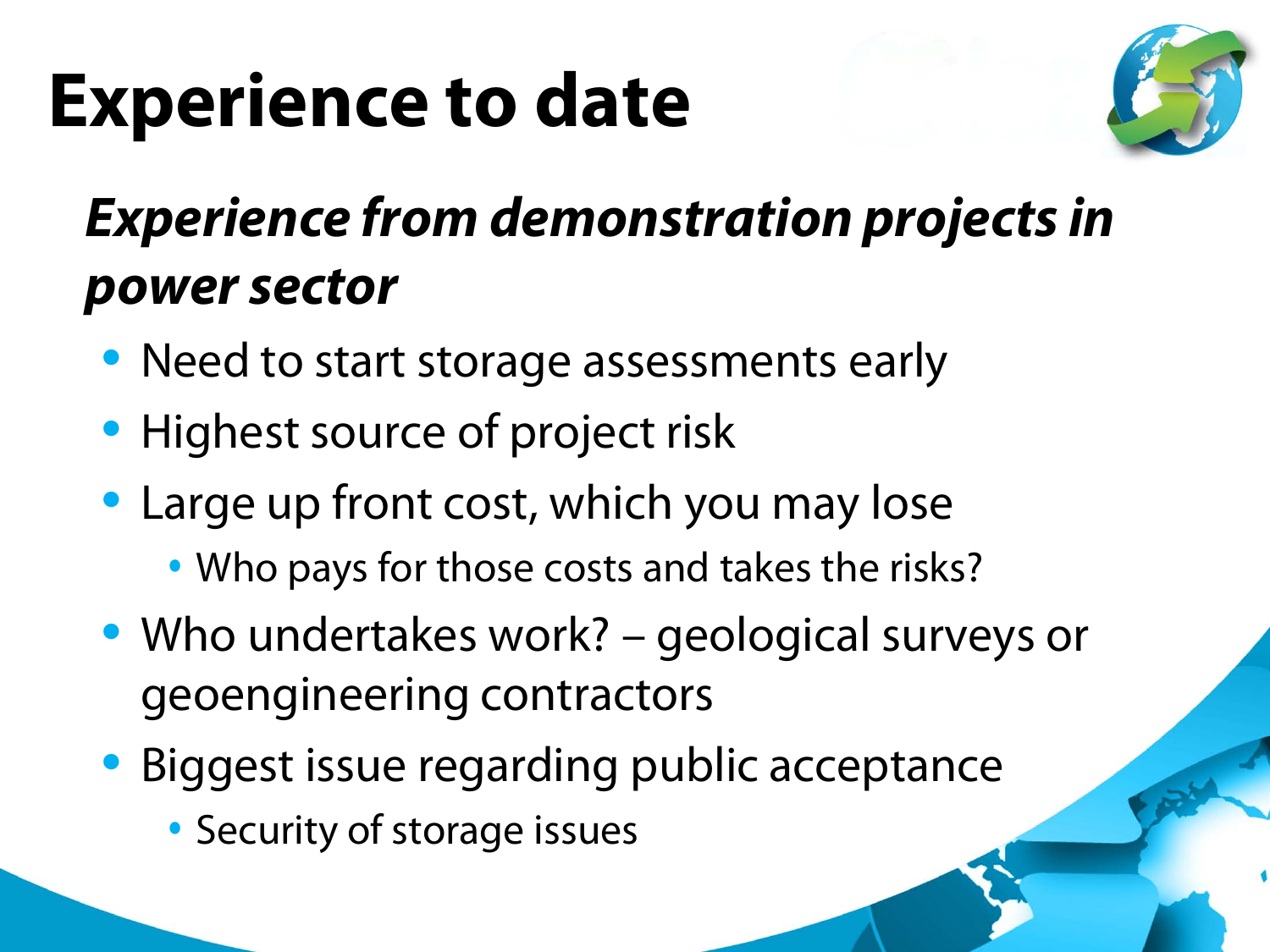### **Experience to date**



#### • *Experience from demonstration projects in power sector*

- Need to start storage assessments early
- Highest source of project risk
- Large up front cost, which you may lose
	- Who pays for those costs and takes the risks?
- Who undertakes work? geological surveys or geoengineering contractors
- Biggest issue regarding public acceptance
	- Security of storage issues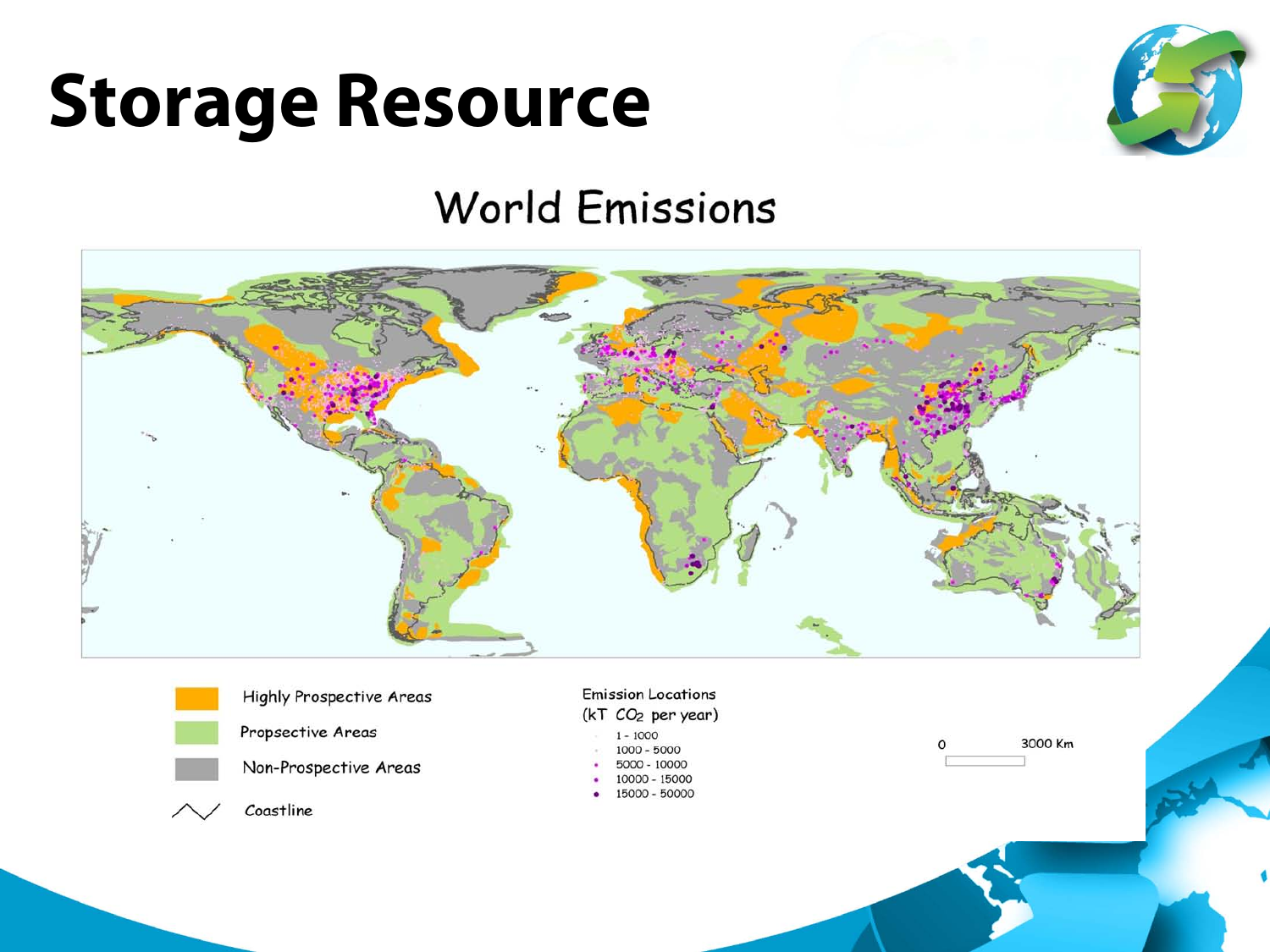



#### **World Emissions**

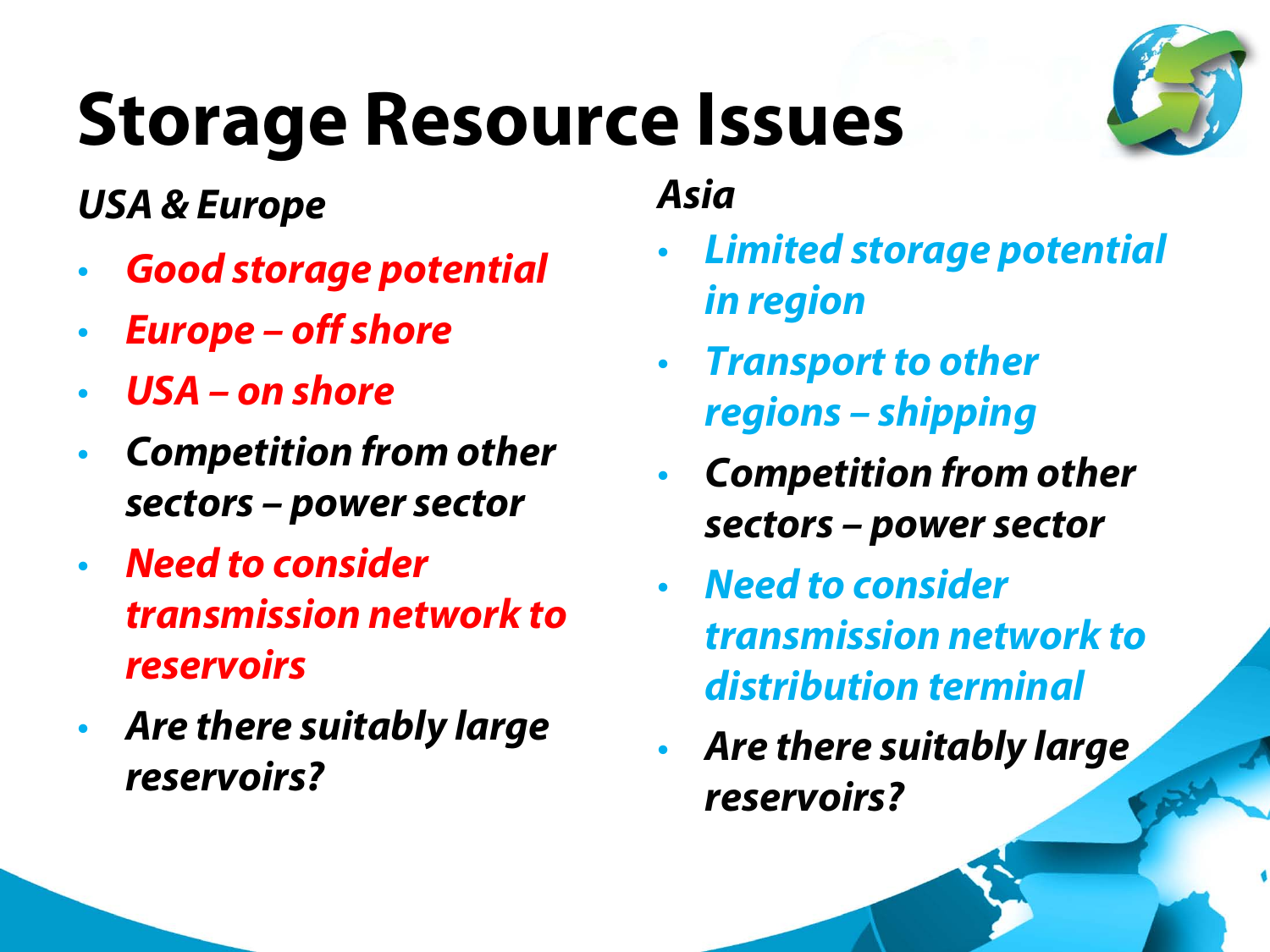#### **Storage Resource Issues**

#### *USA & Europe*

- *Good storage potential*
- *Europe – off shore*
- *USA – on shore*
- *Competition from other sectors – power sector*
- *Need to consider transmission network to reservoirs*
- *Are there suitably large reservoirs?*
- *Limited storage potential in region*
- *Transport to other regions – shipping*

*Asia*

- *Competition from other sectors – power sector*
- *Need to consider transmission network to distribution terminal*
- *Are there suitably large reservoirs?*

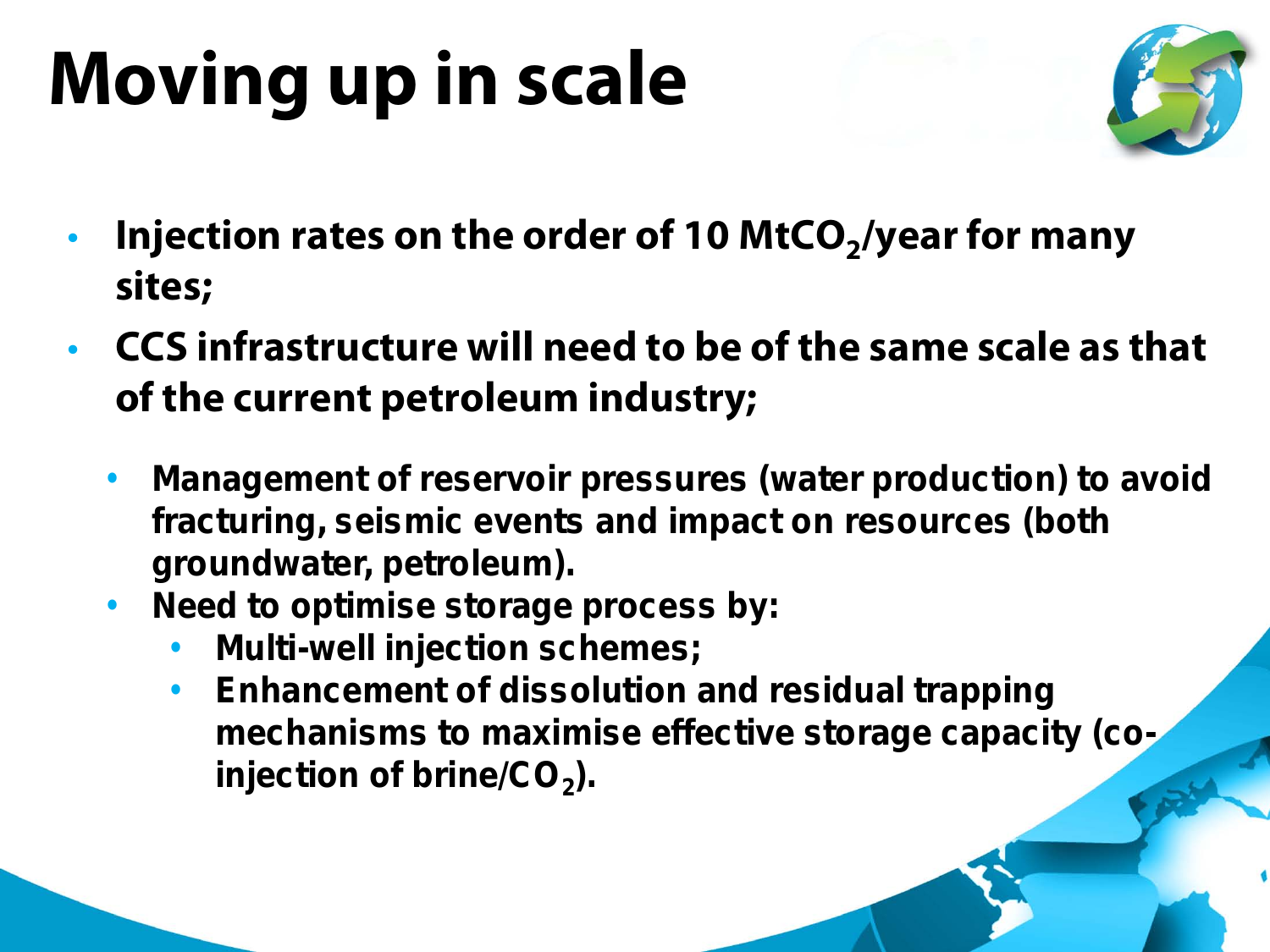## **Moving up in scale**



- Injection rates on the order of 10 MtCO<sub>2</sub>/year for many **sites;**
- **CCS infrastructure will need to be of the same scale as that of the current petroleum industry;**
	- **Management of reservoir pressures (water production) to avoid fracturing, seismic events and impact on resources (both groundwater, petroleum).**
	- **Need to optimise storage process by:**
		- **Multi-well injection schemes;**
		- **Enhancement of dissolution and residual trapping mechanisms to maximise effective storage capacity (co**injection of brine/CO<sub>2</sub>).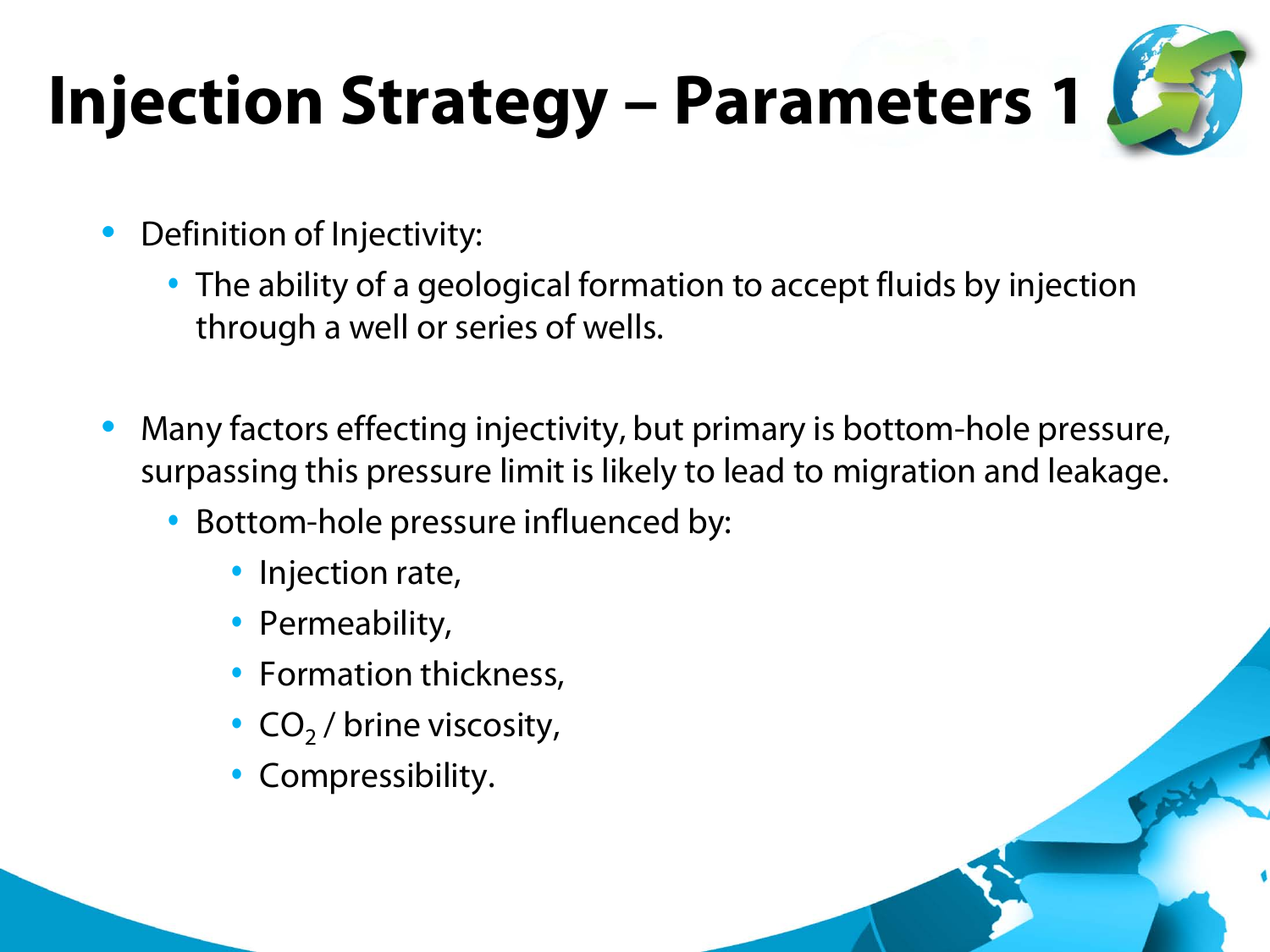### **Injection Strategy – Parameters 1**



- Definition of Injectivity:
	- The ability of a geological formation to accept fluids by injection through a well or series of wells.
- Many factors effecting injectivity, but primary is bottom-hole pressure, surpassing this pressure limit is likely to lead to migration and leakage.
	- Bottom-hole pressure influenced by:
		- Injection rate,
		- Permeability,
		- Formation thickness,
		- $CO<sub>2</sub>$  / brine viscosity,
		- Compressibility.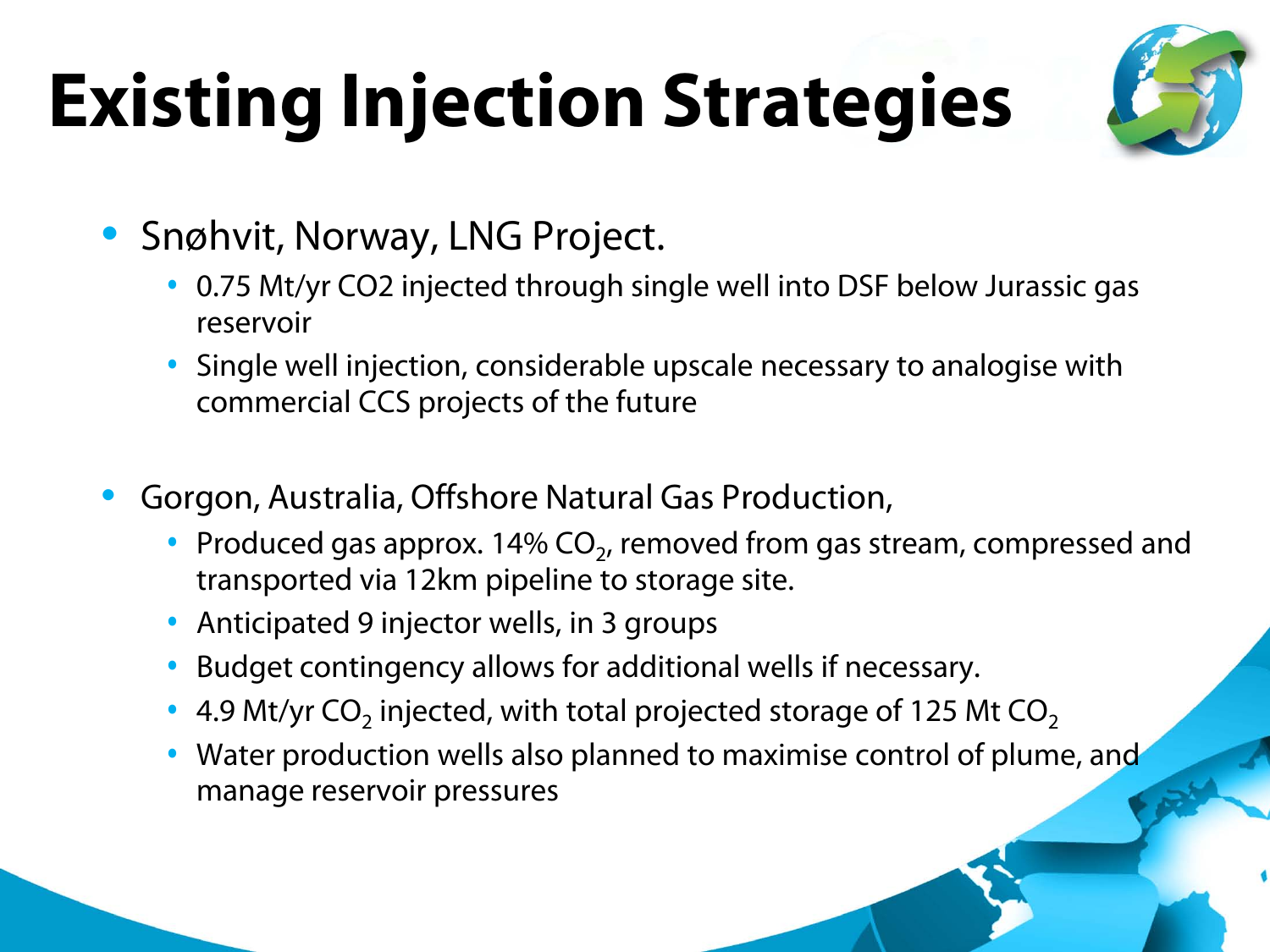## **Existing Injection Strategies**



- Snøhvit, Norway, LNG Project.
	- 0.75 Mt/yr CO2 injected through single well into DSF below Jurassic gas reservoir
	- Single well injection, considerable upscale necessary to analogise with commercial CCS projects of the future
- Gorgon, Australia, Offshore Natural Gas Production,
	- Produced gas approx. 14%  $CO<sub>2</sub>$ , removed from gas stream, compressed and transported via 12km pipeline to storage site.
	- Anticipated 9 injector wells, in 3 groups
	- Budget contingency allows for additional wells if necessary.
	- 4.9 Mt/yr CO<sub>2</sub> injected, with total projected storage of 125 Mt CO<sub>2</sub>
	- Water production wells also planned to maximise control of plume, and manage reservoir pressures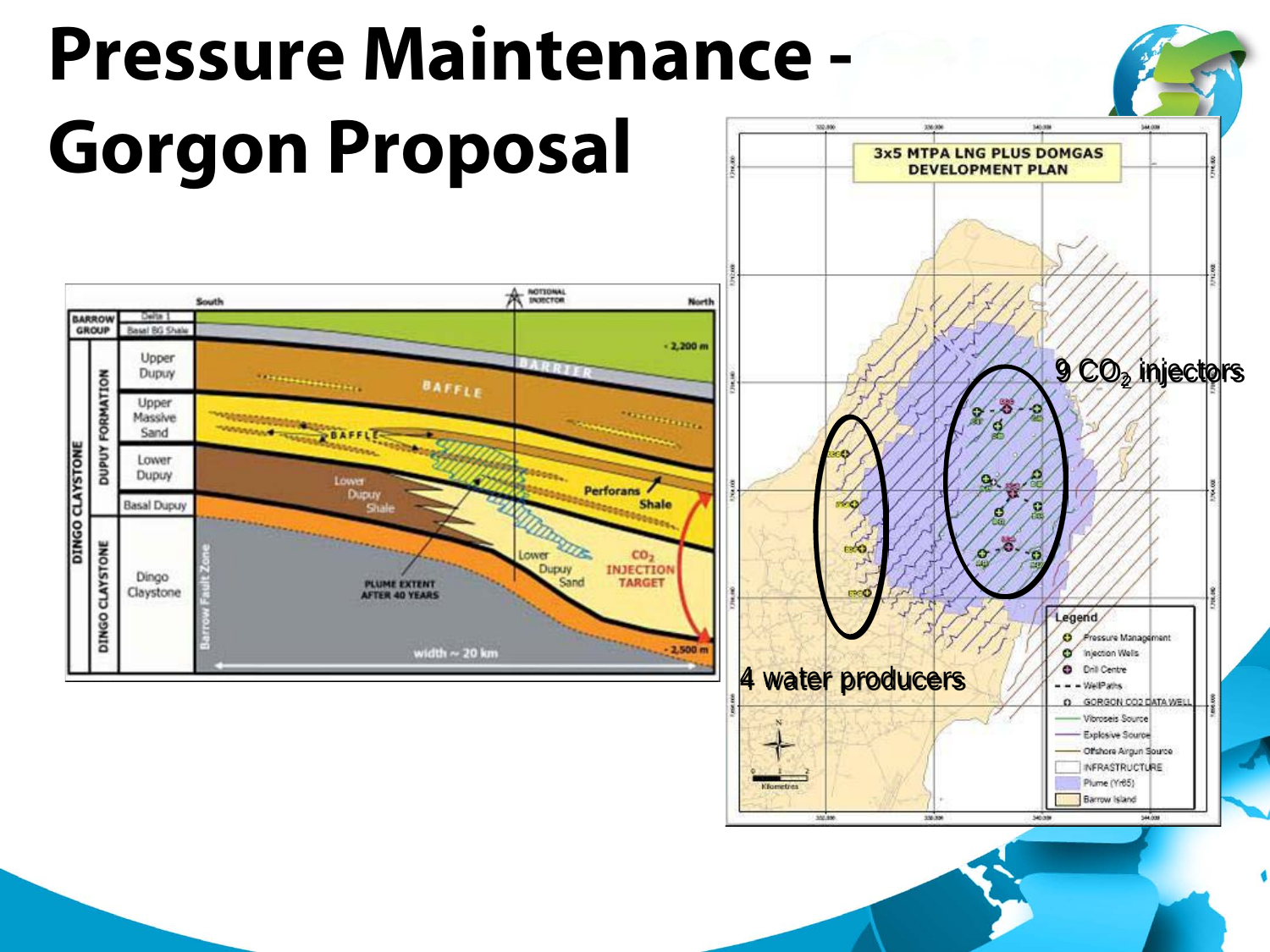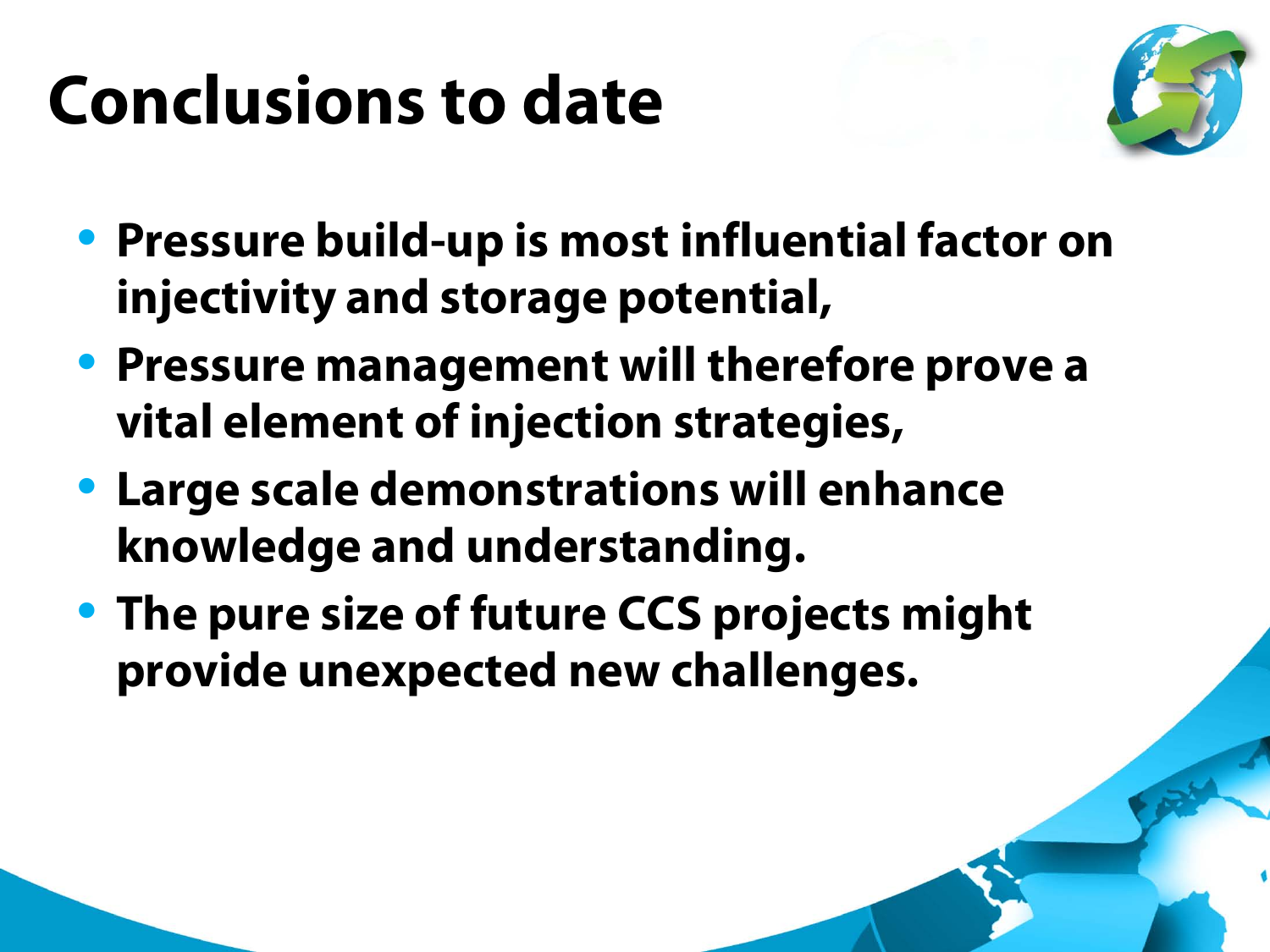#### **Conclusions to date**



- **Pressure build-up is most influential factor on injectivity and storage potential,**
- **Pressure management will therefore prove a vital element of injection strategies,**
- **Large scale demonstrations will enhance knowledge and understanding.**
- **The pure size of future CCS projects might provide unexpected new challenges.**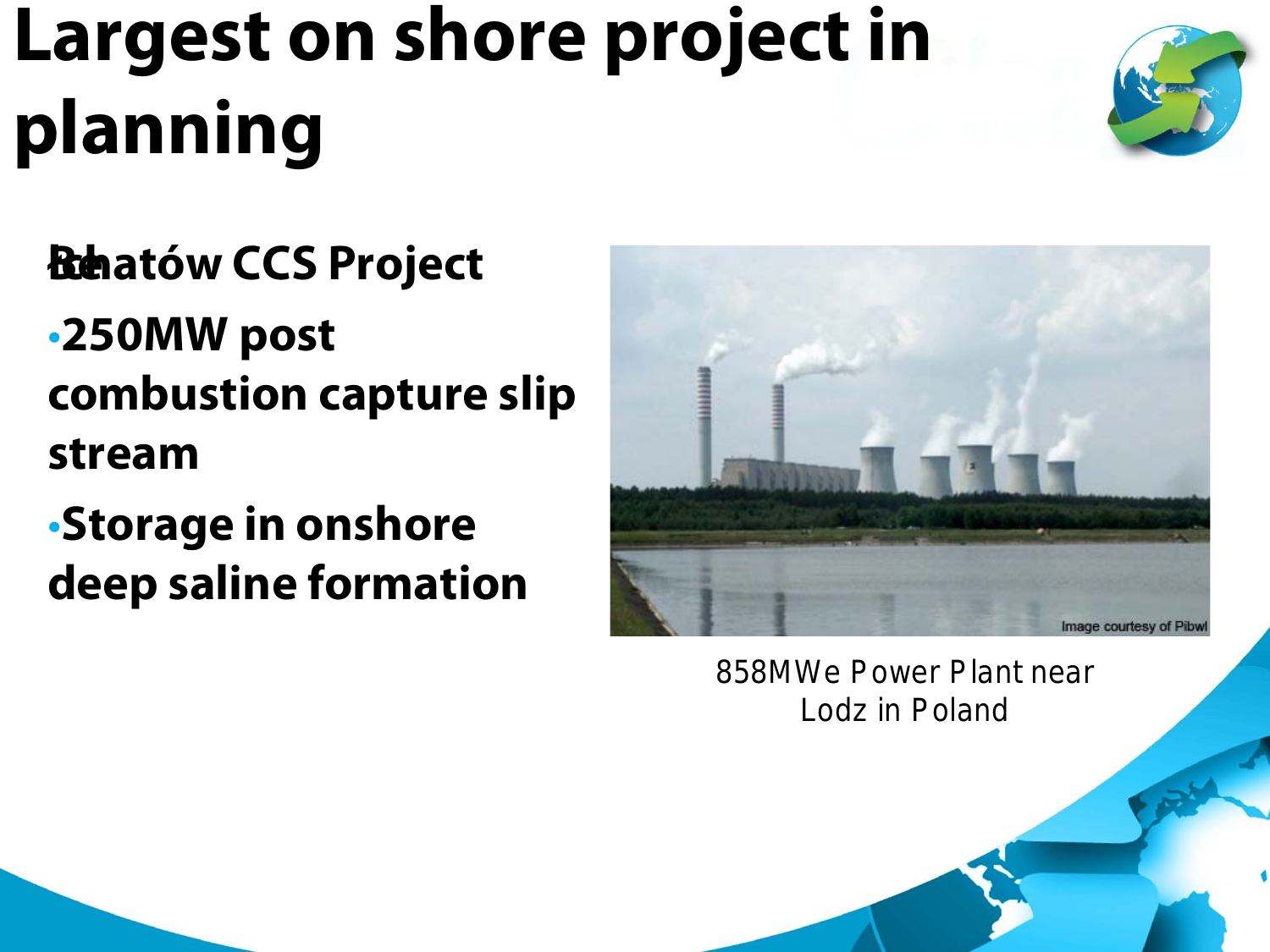### **Largest on shore project in planning**



- **Behatów CCS Project**
- •**250MW post combustion capture slip stream**
- •**Storage in onshore deep saline formation**



858MWe Power Plant near Lodz in Poland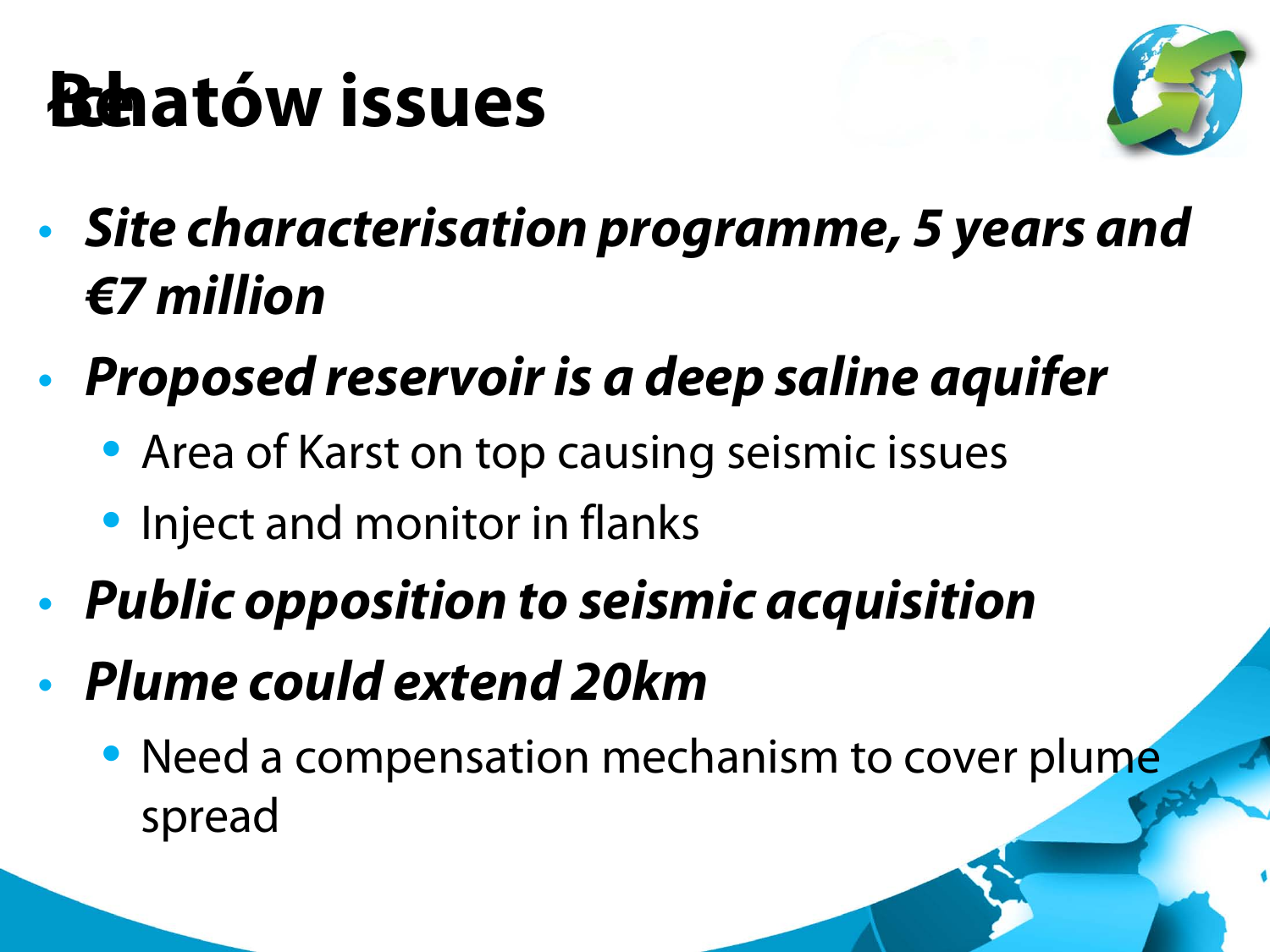#### **Behatów issues**



- *Site characterisation programme, 5 years and €7 million*
- *Proposed reservoir is a deep saline aquifer*
	- Area of Karst on top causing seismic issues
	- Inject and monitor in flanks
- *Public opposition to seismic acquisition*
- *Plume could extend 20km*
	- Need a compensation mechanism to cover plume spread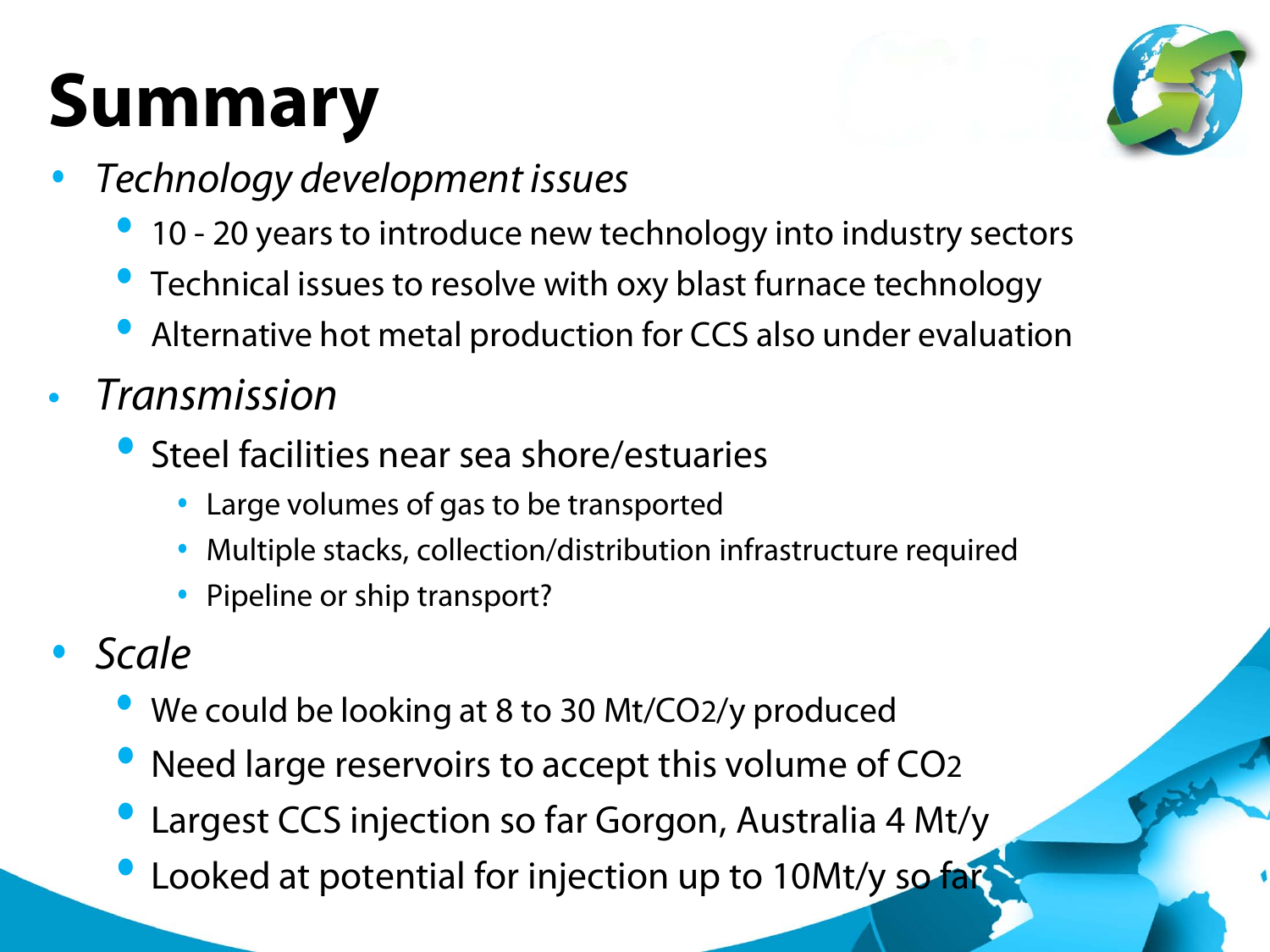## **Summary**



- *Technology development issues* 
	- 10 20 years to introduce new technology into industry sectors
	- Technical issues to resolve with oxy blast furnace technology
	- Alternative hot metal production for CCS also under evaluation
- *Transmission*
	- Steel facilities near sea shore/estuaries
		- Large volumes of gas to be transported
		- Multiple stacks, collection/distribution infrastructure required
		- Pipeline or ship transport?
- *Scale* 
	- We could be looking at 8 to 30 Mt/CO2/y produced
	- Need large reservoirs to accept this volume of CO2
	- Largest CCS injection so far Gorgon, Australia 4 Mt/y
	- Looked at potential for injection up to 10Mt/y so far